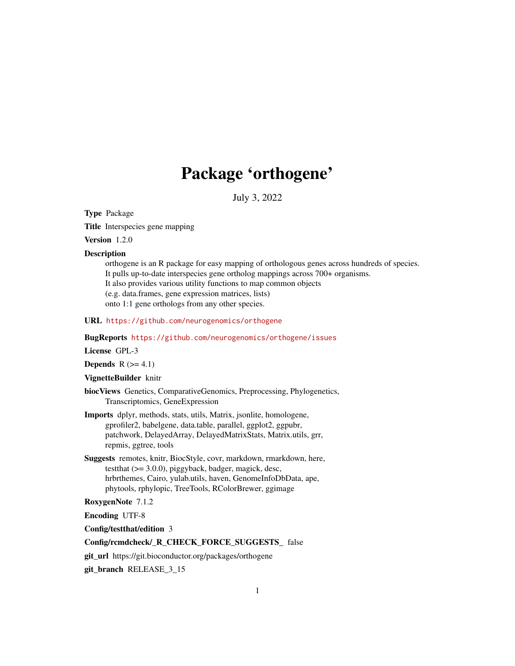# Package 'orthogene'

July 3, 2022

<span id="page-0-0"></span>Type Package

Title Interspecies gene mapping

Version 1.2.0

#### **Description**

orthogene is an R package for easy mapping of orthologous genes across hundreds of species. It pulls up-to-date interspecies gene ortholog mappings across 700+ organisms. It also provides various utility functions to map common objects (e.g. data.frames, gene expression matrices, lists) onto 1:1 gene orthologs from any other species.

URL <https://github.com/neurogenomics/orthogene>

# BugReports <https://github.com/neurogenomics/orthogene/issues>

License GPL-3

Depends  $R$  ( $>= 4.1$ )

# VignetteBuilder knitr

biocViews Genetics, ComparativeGenomics, Preprocessing, Phylogenetics, Transcriptomics, GeneExpression

- Imports dplyr, methods, stats, utils, Matrix, jsonlite, homologene, gprofiler2, babelgene, data.table, parallel, ggplot2, ggpubr, patchwork, DelayedArray, DelayedMatrixStats, Matrix.utils, grr, repmis, ggtree, tools
- Suggests remotes, knitr, BiocStyle, covr, markdown, rmarkdown, here, testthat  $(>= 3.0.0)$ , piggyback, badger, magick, desc, hrbrthemes, Cairo, yulab.utils, haven, GenomeInfoDbData, ape, phytools, rphylopic, TreeTools, RColorBrewer, ggimage

# RoxygenNote 7.1.2

Encoding UTF-8

Config/testthat/edition 3

# Config/rcmdcheck/\_R\_CHECK\_FORCE\_SUGGESTS\_ false

git\_url https://git.bioconductor.org/packages/orthogene

git\_branch RELEASE\_3\_15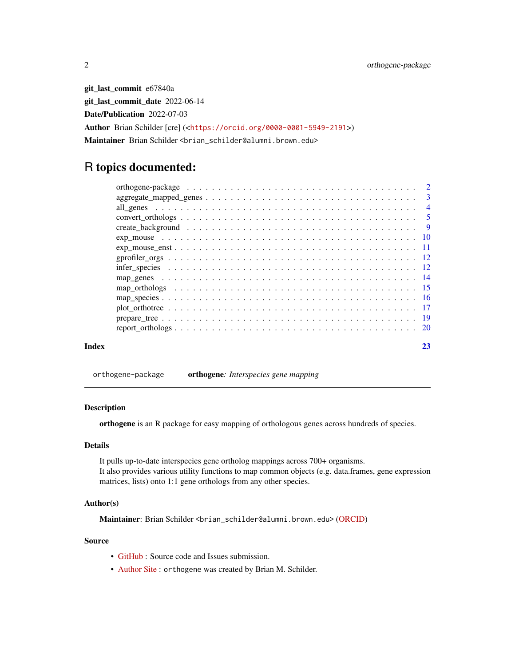<span id="page-1-0"></span>git\_last\_commit e67840a git\_last\_commit\_date 2022-06-14 Date/Publication 2022-07-03 Author Brian Schilder [cre] (<<https://orcid.org/0000-0001-5949-2191>>) Maintainer Brian Schilder <brian\_schilder@alumni.brown.edu>

# R topics documented:

| Index | 23 |
|-------|----|

orthogene-package orthogene*: Interspecies gene mapping*

#### Description

orthogene is an R package for easy mapping of orthologous genes across hundreds of species.

# Details

It pulls up-to-date interspecies gene ortholog mappings across 700+ organisms. It also provides various utility functions to map common objects (e.g. data.frames, gene expression matrices, lists) onto 1:1 gene orthologs from any other species.

# Author(s)

Maintainer: Brian Schilder <brian\_schilder@alumni.brown.edu> [\(ORCID\)](https://orcid.org/0000-0001-5949-2191)

# Source

- [GitHub](https://github.com/neurogenomics/orthogene) : Source code and Issues submission.
- [Author Site](https://bschilder.github.io/BMSchilder/) : orthogene was created by Brian M. Schilder.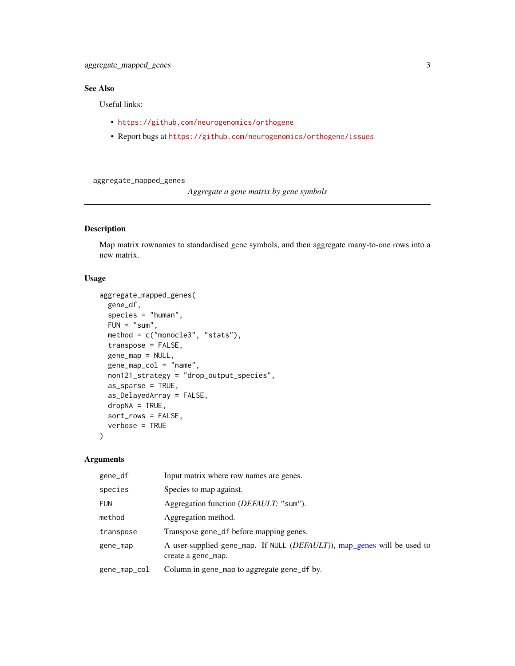# <span id="page-2-0"></span>See Also

Useful links:

- <https://github.com/neurogenomics/orthogene>
- Report bugs at <https://github.com/neurogenomics/orthogene/issues>

aggregate\_mapped\_genes

*Aggregate a gene matrix by gene symbols*

# Description

Map matrix rownames to standardised gene symbols, and then aggregate many-to-one rows into a new matrix.

# Usage

```
aggregate_mapped_genes(
 gene_df,
  species = "human",
 FUN = "sum",method = c("monocle3", "stats"),
  transpose = FALSE,
  gene_map = NULL,
 gene_map_col = "name",
 non121_strategy = "drop_output_species",
 as_sparse = TRUE,
  as_DelayedArray = FALSE,
 dropNA = TRUE,sort_rows = FALSE,
  verbose = TRUE
)
```

| gene_df      | Input matrix where row names are genes.                                                                |
|--------------|--------------------------------------------------------------------------------------------------------|
| species      | Species to map against.                                                                                |
| <b>FUN</b>   | Aggregation function ( <i>DEFAULT</i> : "sum").                                                        |
| method       | Aggregation method.                                                                                    |
| transpose    | Transpose gene_df before mapping genes.                                                                |
| gene_map     | A user-supplied gene_map. If NULL ( <i>DEFAULT</i> )), map_genes will be used to<br>create a gene_map. |
| gene_map_col | Column in gene_map to aggregate gene_df by.                                                            |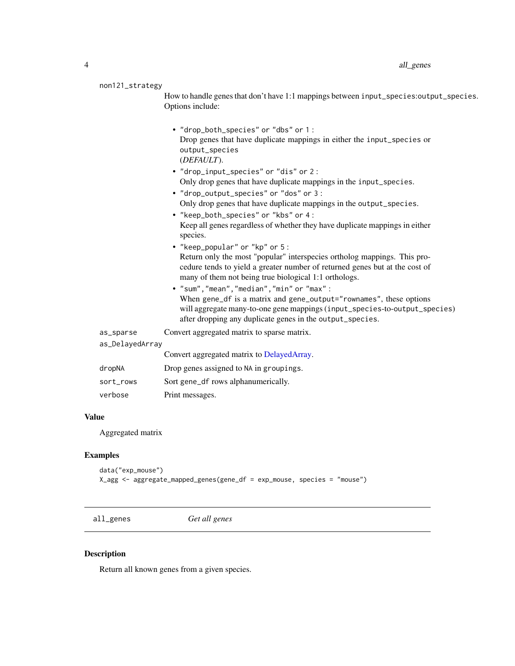#### <span id="page-3-0"></span>non121\_strategy

How to handle genes that don't have 1:1 mappings between input\_species:output\_species. Options include:

- "drop\_both\_species" or "dbs" or 1 : Drop genes that have duplicate mappings in either the input\_species or output\_species (*DEFAULT*).
- "drop\_input\_species" or "dis" or 2 : Only drop genes that have duplicate mappings in the input\_species.
- "drop\_output\_species" or "dos" or 3 : Only drop genes that have duplicate mappings in the output\_species.
- "keep\_both\_species" or "kbs" or 4 : Keep all genes regardless of whether they have duplicate mappings in either species.
- "keep\_popular" or "kp" or 5 : Return only the most "popular" interspecies ortholog mappings. This procedure tends to yield a greater number of returned genes but at the cost of many of them not being true biological 1:1 orthologs.
- "sum","mean","median","min" or "max" : When gene\_df is a matrix and gene\_output="rownames", these options will aggregate many-to-one gene mappings (input\_species-to-output\_species) after dropping any duplicate genes in the output\_species.

as\_sparse Convert aggregated matrix to sparse matrix.

#### as\_DelayedArray

|           | Convert aggregated matrix to DelayedArray. |
|-----------|--------------------------------------------|
| dropNA    | Drop genes assigned to NA in groupings.    |
| sort_rows | Sort gene_df rows alphanumerically.        |
| verbose   | Print messages.                            |

#### Value

Aggregated matrix

#### Examples

```
data("exp_mouse")
X_agg <- aggregate_mapped_genes(gene_df = exp_mouse, species = "mouse")
```
<span id="page-3-1"></span>all\_genes *Get all genes*

#### Description

Return all known genes from a given species.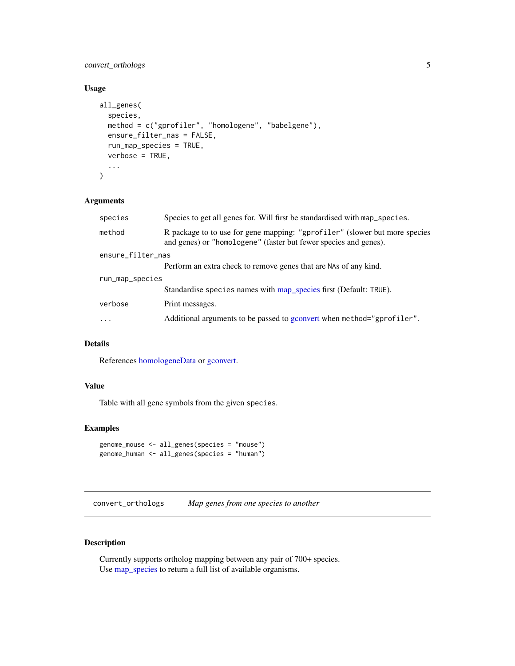# <span id="page-4-0"></span>convert\_orthologs 5

# Usage

```
all_genes(
  species,
 method = c("gprofiler", "homologene", "babelgene"),
 ensure_filter_nas = FALSE,
  run_map_species = TRUE,
  verbose = TRUE,
  ...
)
```
# Arguments

| species           | Species to get all genes for. Will first be standardised with map_species.                                                                     |  |
|-------------------|------------------------------------------------------------------------------------------------------------------------------------------------|--|
| method            | R package to to use for gene mapping: "gprofiler" (slower but more species<br>and genes) or "homologene" (faster but fewer species and genes). |  |
| ensure_filter_nas |                                                                                                                                                |  |
|                   | Perform an extra check to remove genes that are NAs of any kind.                                                                               |  |
| run_map_species   |                                                                                                                                                |  |
|                   | Standardise species names with map_species first (Default: TRUE).                                                                              |  |
| verbose           | Print messages.                                                                                                                                |  |
| .                 | Additional arguments to be passed to gconvert when method="gprofiler".                                                                         |  |
|                   |                                                                                                                                                |  |

# Details

References [homologeneData](#page-0-0) or [gconvert.](#page-0-0)

#### Value

Table with all gene symbols from the given species.

# Examples

```
genome_mouse <- all_genes(species = "mouse")
genome_human <- all_genes(species = "human")
```
<span id="page-4-1"></span>convert\_orthologs *Map genes from one species to another*

# Description

Currently supports ortholog mapping between any pair of 700+ species. Use [map\\_species](#page-15-1) to return a full list of available organisms.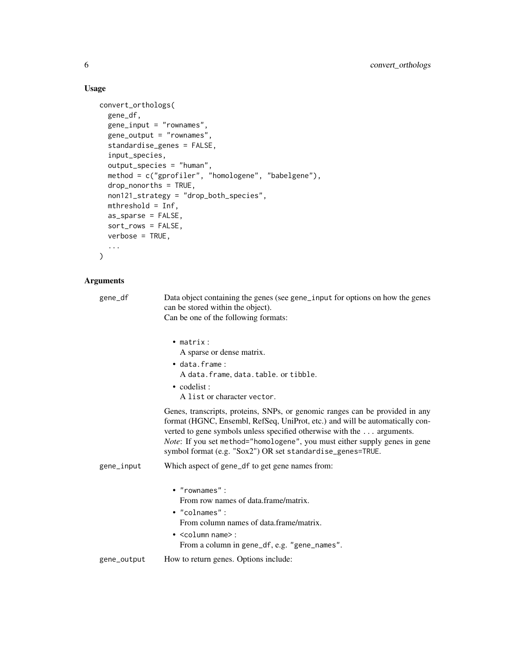# Usage

```
convert_orthologs(
  gene_df,
  gene_input = "rownames",
  gene_output = "rownames",
  standardise_genes = FALSE,
  input_species,
  output_species = "human",
  method = c("gprofiler", "homologene", "babelgene"),
  drop_nonorths = TRUE,
  non121_strategy = "drop_both_species",
  mthreshold = Inf,
  as_sparse = FALSE,
  sort_rows = FALSE,
  verbose = TRUE,
  ...
\mathcal{L}
```

| gene_df     | Data object containing the genes (see gene_input for options on how the genes<br>can be stored within the object).<br>Can be one of the following formats:                                                                                                                                                                                                                         |
|-------------|------------------------------------------------------------------------------------------------------------------------------------------------------------------------------------------------------------------------------------------------------------------------------------------------------------------------------------------------------------------------------------|
|             | $\bullet$ matrix:<br>A sparse or dense matrix.<br>· data.frame:<br>A data. frame, data. table. or tibble.<br>$\bullet$ codelist:<br>A list or character vector.                                                                                                                                                                                                                    |
|             | Genes, transcripts, proteins, SNPs, or genomic ranges can be provided in any<br>format (HGNC, Ensembl, RefSeq, UniProt, etc.) and will be automatically con-<br>verted to gene symbols unless specified otherwise with the  arguments.<br>Note: If you set method="homologene", you must either supply genes in gene<br>symbol format (e.g. "Sox2") OR set standardise_genes=TRUE. |
| gene_input  | Which aspect of gene_df to get gene names from:                                                                                                                                                                                                                                                                                                                                    |
|             | $\bullet$ "rownames":<br>From row names of data.frame/matrix.<br>• "colnames":<br>From column names of data frame/matrix.<br>$\bullet$ <column name="">:<br/>From a column in gene_df, e.g. "gene_names".</column>                                                                                                                                                                 |
| gene_output | How to return genes. Options include:                                                                                                                                                                                                                                                                                                                                              |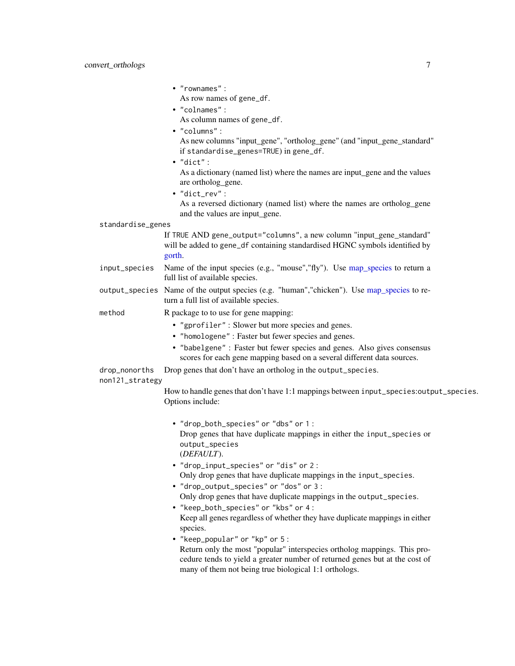<span id="page-6-0"></span>• "rownames" : As row names of gene\_df.

• "colnames" :

- 
- As column names of gene\_df.
- "columns" :

As new columns "input\_gene", "ortholog\_gene" (and "input\_gene\_standard" if standardise\_genes=TRUE) in gene\_df.

• "dict" :

As a dictionary (named list) where the names are input\_gene and the values are ortholog\_gene.

• "dict\_rev" :

As a reversed dictionary (named list) where the names are ortholog\_gene and the values are input\_gene.

#### standardise\_genes

If TRUE AND gene\_output="columns", a new column "input\_gene\_standard" will be added to gene\_df containing standardised HGNC symbols identified by [gorth.](#page-0-0)

- input\_species Name of the input species (e.g., "mouse","fly"). Use [map\\_species](#page-15-1) to return a full list of available species.
- output\_species Name of the output species (e.g. "human","chicken"). Use [map\\_species](#page-15-1) to return a full list of available species.
- method R package to to use for gene mapping:
	- "gprofiler" : Slower but more species and genes.
	- "homologene" : Faster but fewer species and genes.
	- "babelgene" : Faster but fewer species and genes. Also gives consensus scores for each gene mapping based on a several different data sources.

drop\_nonorths Drop genes that don't have an ortholog in the output\_species.

#### non121\_strategy

How to handle genes that don't have 1:1 mappings between input\_species:output\_species. Options include:

- "drop\_both\_species" or "dbs" or 1 : Drop genes that have duplicate mappings in either the input\_species or output\_species (*DEFAULT*).
- "drop\_input\_species" or "dis" or 2 : Only drop genes that have duplicate mappings in the input\_species.
- "drop\_output\_species" or "dos" or 3 : Only drop genes that have duplicate mappings in the output\_species.
- "keep\_both\_species" or "kbs" or 4 : Keep all genes regardless of whether they have duplicate mappings in either species.
- "keep\_popular" or "kp" or 5 : Return only the most "popular" interspecies ortholog mappings. This procedure tends to yield a greater number of returned genes but at the cost of many of them not being true biological 1:1 orthologs.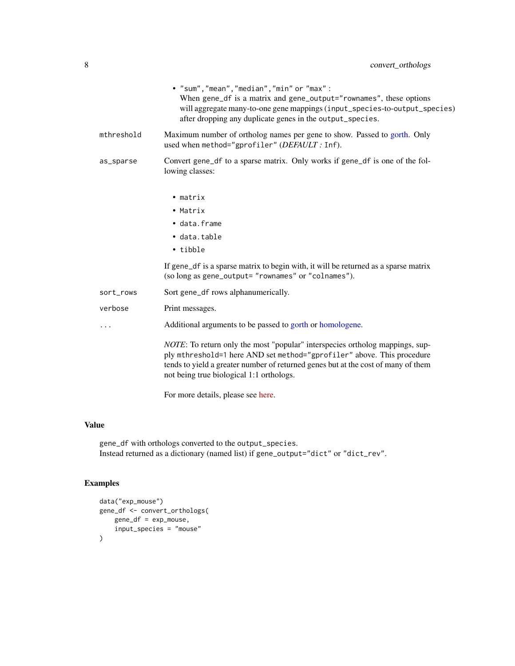<span id="page-7-0"></span>

|            | • "sum", "mean", "median", "min" or "max":<br>When gene_df is a matrix and gene_output="rownames", these options<br>will aggregate many-to-one gene mappings (input_species-to-output_species)<br>after dropping any duplicate genes in the output_species.                                     |
|------------|-------------------------------------------------------------------------------------------------------------------------------------------------------------------------------------------------------------------------------------------------------------------------------------------------|
| mthreshold | Maximum number of ortholog names per gene to show. Passed to gorth. Only<br>used when method="gprofiler" (DEFAULT: Inf).                                                                                                                                                                        |
| as_sparse  | Convert gene_df to a sparse matrix. Only works if gene_df is one of the fol-<br>lowing classes:                                                                                                                                                                                                 |
|            | $\bullet$ matrix                                                                                                                                                                                                                                                                                |
|            | • Matrix                                                                                                                                                                                                                                                                                        |
|            | · data.frame                                                                                                                                                                                                                                                                                    |
|            | • data.table                                                                                                                                                                                                                                                                                    |
|            | • tibble                                                                                                                                                                                                                                                                                        |
|            | If gene_df is a sparse matrix to begin with, it will be returned as a sparse matrix<br>(so long as gene_output= "rownames" or "colnames").                                                                                                                                                      |
| sort_rows  | Sort gene_df rows alphanumerically.                                                                                                                                                                                                                                                             |
| verbose    | Print messages.                                                                                                                                                                                                                                                                                 |
|            | Additional arguments to be passed to gorth or homologene.                                                                                                                                                                                                                                       |
|            | <i>NOTE</i> : To return only the most "popular" interspecies ortholog mappings, sup-<br>ply mthreshold=1 here AND set method="gprofiler" above. This procedure<br>tends to yield a greater number of returned genes but at the cost of many of them<br>not being true biological 1:1 orthologs. |

For more details, please see [here.](https://cran.r-project.org/web/packages/gprofiler2/vignettes/gprofiler2.html)

# Value

gene\_df with orthologs converted to the output\_species. Instead returned as a dictionary (named list) if gene\_output="dict" or "dict\_rev".

# Examples

```
data("exp_mouse")
gene_df <- convert_orthologs(
   gene_df = exp_mouse,
   input_species = "mouse"
)
```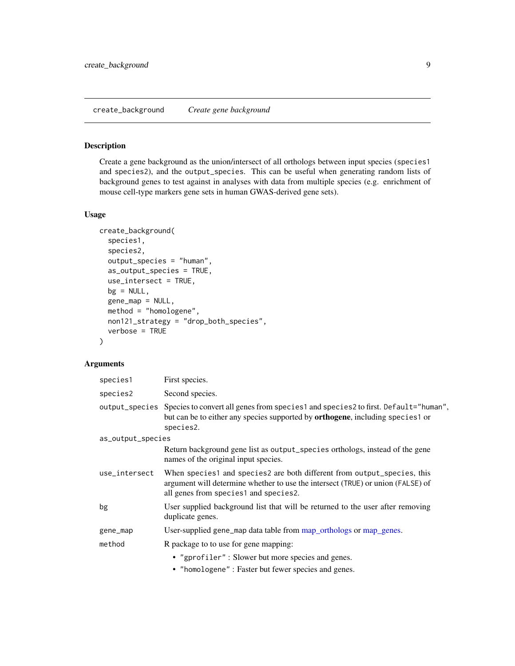# <span id="page-8-0"></span>Description

Create a gene background as the union/intersect of all orthologs between input species (species1 and species2), and the output\_species. This can be useful when generating random lists of background genes to test against in analyses with data from multiple species (e.g. enrichment of mouse cell-type markers gene sets in human GWAS-derived gene sets).

#### Usage

```
create_background(
  species1,
  species2,
  output_species = "human",
  as_output_species = TRUE,
  use_intersect = TRUE,
  bg = NULL,gene_map = NULL,
 method = "homologene",
 non121_strategy = "drop_both_species",
  verbose = TRUE
)
```

| species1          | First species.                                                                                                                                                                                           |
|-------------------|----------------------------------------------------------------------------------------------------------------------------------------------------------------------------------------------------------|
| species2          | Second species.                                                                                                                                                                                          |
|                   | output_species Species to convert all genes from species1 and species2 to first. Default="human",<br>but can be to either any species supported by <b>orthogene</b> , including species1 or<br>species2. |
| as_output_species |                                                                                                                                                                                                          |
|                   | Return background gene list as output_species orthologs, instead of the gene<br>names of the original input species.                                                                                     |
| use_intersect     | When species1 and species2 are both different from output_species, this<br>argument will determine whether to use the intersect (TRUE) or union (FALSE) of<br>all genes from species1 and species2.      |
| bg                | User supplied background list that will be returned to the user after removing<br>duplicate genes.                                                                                                       |
| gene_map          | User-supplied gene_map data table from map_orthologs or map_genes.                                                                                                                                       |
| method            | R package to to use for gene mapping:                                                                                                                                                                    |
|                   | • "gprofiler": Slower but more species and genes.                                                                                                                                                        |
|                   | • "homologene" : Faster but fewer species and genes.                                                                                                                                                     |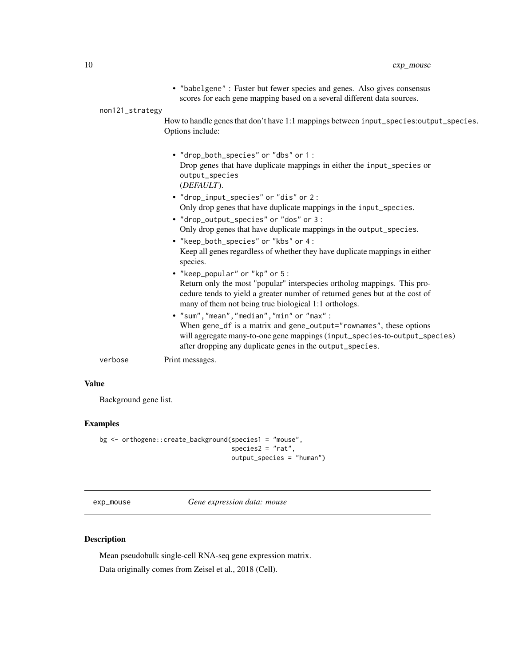<span id="page-9-0"></span>

|                 | • "babelgene" : Faster but fewer species and genes. Also gives consensus<br>scores for each gene mapping based on a several different data sources.                                                              |
|-----------------|------------------------------------------------------------------------------------------------------------------------------------------------------------------------------------------------------------------|
| non121_strategy |                                                                                                                                                                                                                  |
|                 | How to handle genes that don't have 1:1 mappings between input_species:output_species.<br>Options include:                                                                                                       |
|                 | • "drop_both_species" or "dbs" or 1:<br>Drop genes that have duplicate mappings in either the input_species or<br>output_species<br>(DEFAULT).                                                                   |
|                 | • "drop_input_species" or "dis" or 2:<br>Only drop genes that have duplicate mappings in the input_species.                                                                                                      |
|                 | • "drop_output_species" or "dos" or 3:<br>Only drop genes that have duplicate mappings in the output_species.                                                                                                    |
|                 | • "keep_both_species" or "kbs" or 4:                                                                                                                                                                             |
|                 | Keep all genes regardless of whether they have duplicate mappings in either<br>species.                                                                                                                          |
|                 | • "keep_popular" or "kp" or 5 :                                                                                                                                                                                  |
|                 | Return only the most "popular" interspecies ortholog mappings. This pro-<br>cedure tends to yield a greater number of returned genes but at the cost of<br>many of them not being true biological 1:1 orthologs. |
|                 | • "sum", "mean", "median", "min" or "max":                                                                                                                                                                       |
|                 | When none all is a motion and none continual and monocally there antique                                                                                                                                         |

When gene\_df is a matrix and gene\_output="rownames", these options will aggregate many-to-one gene mappings (input\_species-to-output\_species) after dropping any duplicate genes in the output\_species.

verbose Print messages.

# Value

Background gene list.

# Examples

```
bg <- orthogene::create_background(species1 = "mouse",
                                   species2 = "rat",
                                   output_species = "human")
```
exp\_mouse *Gene expression data: mouse*

# Description

Mean pseudobulk single-cell RNA-seq gene expression matrix. Data originally comes from Zeisel et al., 2018 (Cell).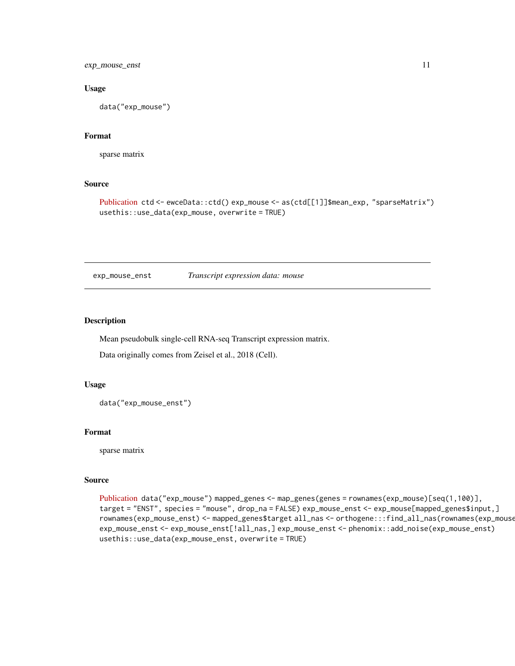<span id="page-10-0"></span>exp\_mouse\_enst 11

#### Usage

data("exp\_mouse")

# Format

sparse matrix

#### Source

```
Publication ctd <- ewceData::ctd() exp_mouse <- as(ctd[[1]]$mean_exp, "sparseMatrix")
usethis::use_data(exp_mouse, overwrite = TRUE)
```
exp\_mouse\_enst *Transcript expression data: mouse*

#### Description

Mean pseudobulk single-cell RNA-seq Transcript expression matrix.

Data originally comes from Zeisel et al., 2018 (Cell).

#### Usage

data("exp\_mouse\_enst")

#### Format

sparse matrix

# Source

[Publication](https://pubmed.ncbi.nlm.nih.gov/30096314/) data("exp\_mouse") mapped\_genes <- map\_genes(genes = rownames(exp\_mouse)[seq(1,100)], target = "ENST", species = "mouse", drop\_na = FALSE) exp\_mouse\_enst <- exp\_mouse[mapped\_genes\$input,] rownames(exp\_mouse\_enst) <- mapped\_genes\$target all\_nas <- orthogene:::find\_all\_nas(rownames(exp\_mouse\_enst)) exp\_mouse\_enst <- exp\_mouse\_enst[!all\_nas,] exp\_mouse\_enst <- phenomix::add\_noise(exp\_mouse\_enst) usethis::use\_data(exp\_mouse\_enst, overwrite = TRUE)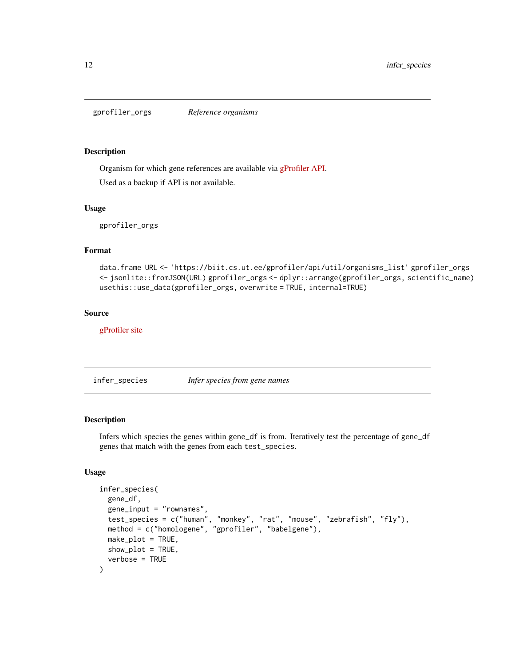<span id="page-11-0"></span>gprofiler\_orgs *Reference organisms*

#### Description

Organism for which gene references are available via [gProfiler](https://biit.cs.ut.ee/gprofiler/gost) [API.](https://biit.cs.ut.ee/gprofiler/api/util/organisms_list)

Used as a backup if API is not available.

#### Usage

gprofiler\_orgs

# Format

data.frame URL <- 'https://biit.cs.ut.ee/gprofiler/api/util/organisms\_list' gprofiler\_orgs <- jsonlite::fromJSON(URL) gprofiler\_orgs <- dplyr::arrange(gprofiler\_orgs, scientific\_name) usethis::use\_data(gprofiler\_orgs, overwrite = TRUE, internal=TRUE)

#### Source

[gProfiler site](https://biit.cs.ut.ee/gprofiler/gost)

infer\_species *Infer species from gene names*

#### Description

Infers which species the genes within gene\_df is from. Iteratively test the percentage of gene\_df genes that match with the genes from each test\_species.

#### Usage

```
infer_species(
 gene_df,
 gene_input = "rownames",
  test_species = c("human", "monkey", "rat", "mouse", "zebrafish", "fly"),
 method = c("homologene", "gprofiler", "babelgene"),
 make_plot = TRUE,
 show_plot = TRUE,
  verbose = TRUE
)
```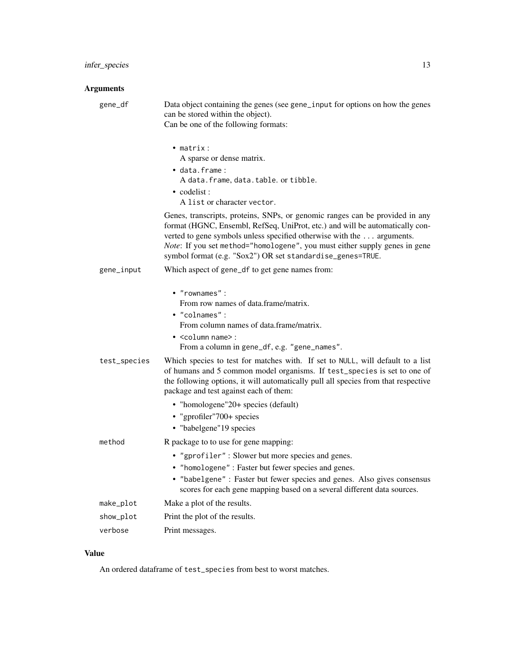#### Arguments

gene\_df Data object containing the genes (see gene\_input for options on how the genes can be stored within the object).

Can be one of the following formats:

- matrix : A sparse or dense matrix.
- data.frame : A data.frame, data.table. or tibble. • codelist :
	- A list or character vector.

Genes, transcripts, proteins, SNPs, or genomic ranges can be provided in any format (HGNC, Ensembl, RefSeq, UniProt, etc.) and will be automatically converted to gene symbols unless specified otherwise with the ... arguments. *Note*: If you set method="homologene", you must either supply genes in gene symbol format (e.g. "Sox2") OR set standardise\_genes=TRUE.

- gene\_input Which aspect of gene\_df to get gene names from:
	- "rownames" : From row names of data.frame/matrix. • "colnames" :
		- From column names of data.frame/matrix.
	- <column name> : From a column in gene\_df, e.g. "gene\_names".
- test\_species Which species to test for matches with. If set to NULL, will default to a list of humans and 5 common model organisms. If test\_species is set to one of the following options, it will automatically pull all species from that respective package and test against each of them:
	- "homologene"20+ species (default)
	- "gprofiler"700+ species
	- "babelgene"19 species

# method R package to to use for gene mapping:

- "gprofiler" : Slower but more species and genes.
- "homologene" : Faster but fewer species and genes.
- "babelgene" : Faster but fewer species and genes. Also gives consensus scores for each gene mapping based on a several different data sources.
- make\_plot Make a plot of the results. show\_plot Print the plot of the results.
- verbose Print messages.

#### Value

An ordered dataframe of test\_species from best to worst matches.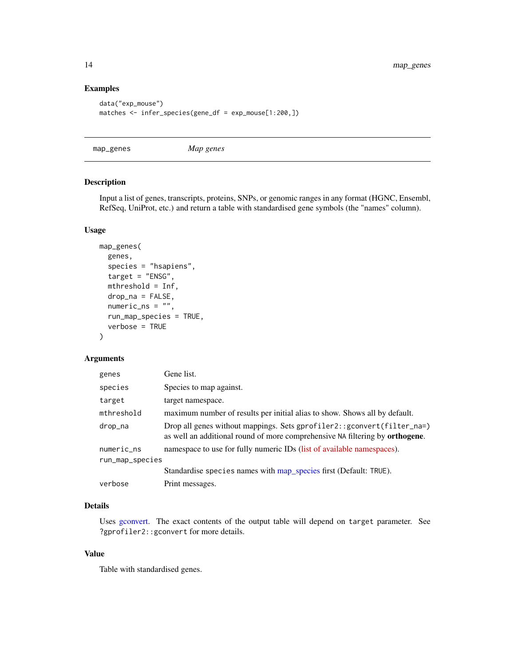# Examples

```
data("exp_mouse")
matches <- infer_species(gene_df = exp_mouse[1:200,])
```
<span id="page-13-1"></span>map\_genes *Map genes*

# Description

Input a list of genes, transcripts, proteins, SNPs, or genomic ranges in any format (HGNC, Ensembl, RefSeq, UniProt, etc.) and return a table with standardised gene symbols (the "names" column).

#### Usage

```
map_genes(
 genes,
  species = "hsapiens",
  target = "ENSG",mthreshold = Inf,
  drop_na = FALSE,
  numeric_ns = "",run_map_species = TRUE,
  verbose = TRUE
)
```
# Arguments

| genes           | Gene list.                                                                                                                                                      |
|-----------------|-----------------------------------------------------------------------------------------------------------------------------------------------------------------|
| species         | Species to map against.                                                                                                                                         |
| target          | target namespace.                                                                                                                                               |
| mthreshold      | maximum number of results per initial alias to show. Shows all by default.                                                                                      |
| drop_na         | Drop all genes without mappings. Sets gprofiler2:: gconvert(filter_na=)<br>as well an additional round of more comprehensive NA filtering by <b>orthogene</b> . |
| numeric_ns      | namespace to use for fully numeric IDs (list of available namespaces).                                                                                          |
| run_map_species |                                                                                                                                                                 |
|                 | Standardise species names with map_species first (Default: TRUE).                                                                                               |
| verbose         | Print messages.                                                                                                                                                 |

# Details

Uses [gconvert.](#page-0-0) The exact contents of the output table will depend on target parameter. See ?gprofiler2::gconvert for more details.

# Value

Table with standardised genes.

<span id="page-13-0"></span>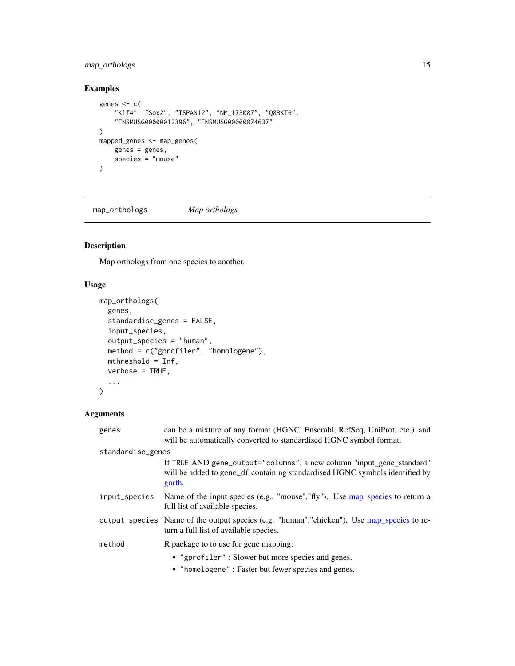# <span id="page-14-0"></span>map\_orthologs 15

# Examples

```
genes <- c(
    "Klf4", "Sox2", "TSPAN12", "NM_173007", "Q8BKT6",
    "ENSMUSG00000012396", "ENSMUSG00000074637"
\lambdamapped_genes <- map_genes(
   genes = genes,
    species = "mouse"
)
```
<span id="page-14-1"></span>map\_orthologs *Map orthologs*

# Description

Map orthologs from one species to another.

# Usage

```
map_orthologs(
  genes,
  standardise_genes = FALSE,
  input_species,
  output_species = "human",
 method = c("gprofiler", "homologene"),
 mthreshold = Inf,
 verbose = TRUE,
  ...
)
```

| genes             | can be a mixture of any format (HGNC, Ensembl, RefSeq, UniProt, etc.) and<br>will be automatically converted to standardised HGNC symbol format.               |
|-------------------|----------------------------------------------------------------------------------------------------------------------------------------------------------------|
| standardise_genes |                                                                                                                                                                |
|                   | If TRUE AND gene_output="columns", a new column "input_gene_standard"<br>will be added to gene_df containing standardised HGNC symbols identified by<br>gorth. |
| input_species     | Name of the input species (e.g., "mouse", "fly"). Use map_species to return a<br>full list of available species.                                               |
|                   | output_species Name of the output species (e.g. "human", "chicken"). Use map_species to re-<br>turn a full list of available species.                          |
| method            | R package to to use for gene mapping:                                                                                                                          |
|                   | • "gprofiler": Slower but more species and genes.<br>• "homologene" : Faster but fewer species and genes.                                                      |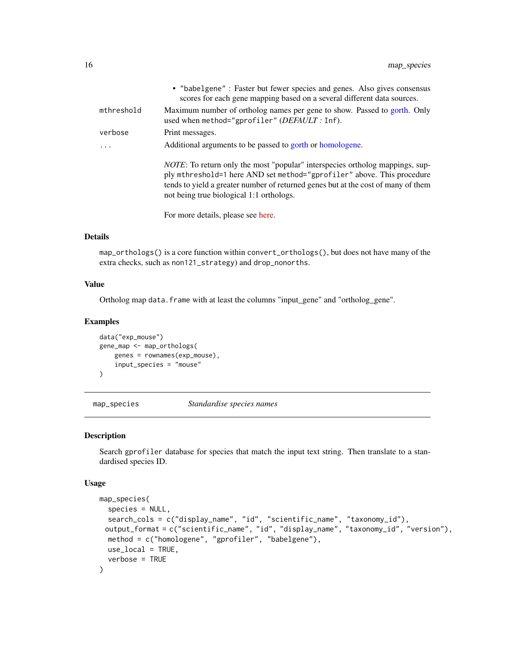<span id="page-15-0"></span>

|            | • "babelgene" : Faster but fewer species and genes. Also gives consensus<br>scores for each gene mapping based on a several different data sources.                                                                                                                                             |
|------------|-------------------------------------------------------------------------------------------------------------------------------------------------------------------------------------------------------------------------------------------------------------------------------------------------|
| mthreshold | Maximum number of ortholog names per gene to show. Passed to gorth. Only<br>used when method="gprofiler" (DEFAULT: Inf).                                                                                                                                                                        |
| verbose    | Print messages.                                                                                                                                                                                                                                                                                 |
|            | Additional arguments to be passed to gorth or homologene.                                                                                                                                                                                                                                       |
|            | <i>NOTE</i> : To return only the most "popular" interspecies ortholog mappings, sup-<br>ply mthreshold=1 here AND set method="gprofiler" above. This procedure<br>tends to yield a greater number of returned genes but at the cost of many of them<br>not being true biological 1:1 orthologs. |

For more details, please see [here.](https://cran.r-project.org/web/packages/gprofiler2/vignettes/gprofiler2.html)

# Details

map\_orthologs() is a core function within convert\_orthologs(), but does not have many of the extra checks, such as non121\_strategy) and drop\_nonorths.

#### Value

Ortholog map data.frame with at least the columns "input\_gene" and "ortholog\_gene".

#### Examples

```
data("exp_mouse")
gene_map <- map_orthologs(
    genes = rownames(exp_mouse),
    input_species = "mouse"
\mathcal{L}
```
<span id="page-15-1"></span>map\_species *Standardise species names*

# Description

Search gprofiler database for species that match the input text string. Then translate to a standardised species ID.

#### Usage

```
map_species(
  species = NULL,
  search_cols = c("display_name", "id", "scientific_name", "taxonomy_id"),
 output_format = c("scientific_name", "id", "display_name", "taxonomy_id", "version"),
 method = c("homologene", "gprofiler", "babelgene"),
 use_local = TRUE,
  verbose = TRUE
)
```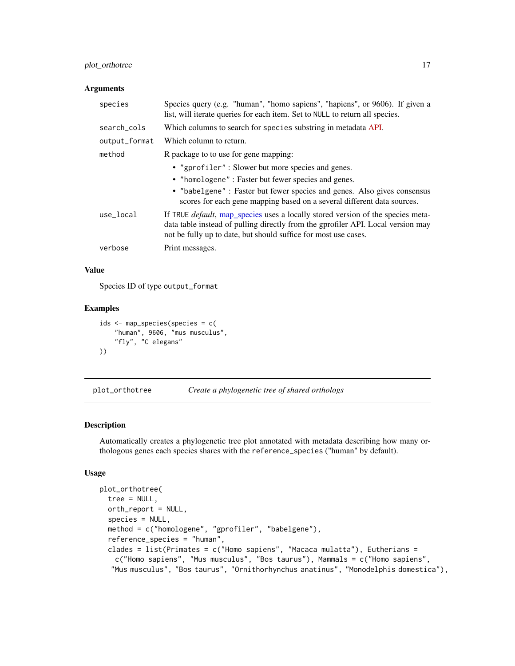# <span id="page-16-0"></span>plot\_orthotree 17

#### Arguments

| species       | Species query (e.g. "human", "homo sapiens", "hapiens", or 9606). If given a<br>list, will iterate queries for each item. Set to NULL to return all species.                                                                                   |
|---------------|------------------------------------------------------------------------------------------------------------------------------------------------------------------------------------------------------------------------------------------------|
| search_cols   | Which columns to search for species substring in metadata API.                                                                                                                                                                                 |
| output_format | Which column to return.                                                                                                                                                                                                                        |
| method        | R package to to use for gene mapping:                                                                                                                                                                                                          |
|               | • "gprofiler": Slower but more species and genes.                                                                                                                                                                                              |
|               | • "homologene" : Faster but fewer species and genes.                                                                                                                                                                                           |
|               | • "babelgene" : Faster but fewer species and genes. Also gives consensus<br>scores for each gene mapping based on a several different data sources.                                                                                            |
| use_local     | If TRUE <i>default</i> , map_species uses a locally stored version of the species meta-<br>data table instead of pulling directly from the gprofiler API. Local version may<br>not be fully up to date, but should suffice for most use cases. |
| verbose       | Print messages.                                                                                                                                                                                                                                |

# Value

Species ID of type output\_format

# Examples

```
ids <- map_species(species = c(
    "human", 9606, "mus musculus",
    "fly", "C elegans"
))
```
plot\_orthotree *Create a phylogenetic tree of shared orthologs*

# Description

Automatically creates a phylogenetic tree plot annotated with metadata describing how many orthologous genes each species shares with the reference\_species ("human" by default).

# Usage

```
plot_orthotree(
  tree = NULL,
  orth_report = NULL,
  species = NULL,
 method = c("homologene", "gprofiler", "babelgene"),
  reference_species = "human",
  clades = list(Primates = c("Homo sapiens", "Macaca mulatta"), Eutherians =
   c("Homo sapiens", "Mus musculus", "Bos taurus"), Mammals = c("Homo sapiens",
  "Mus musculus", "Bos taurus", "Ornithorhynchus anatinus", "Monodelphis domestica"),
```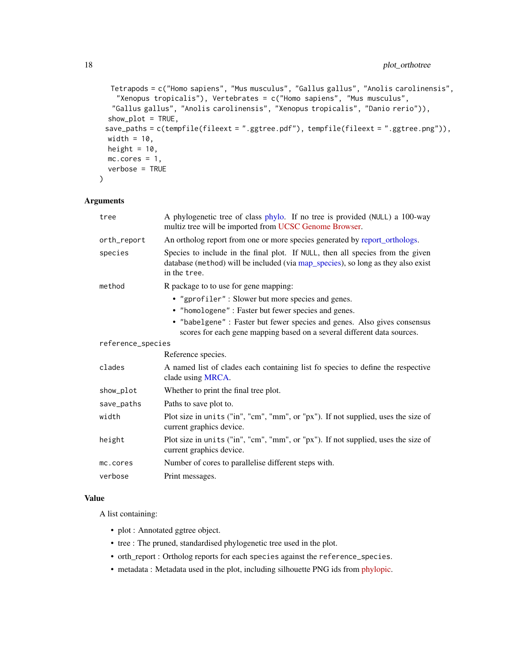```
Tetrapods = c("Homo sapiens", "Mus musculus", "Gallus gallus", "Anolis carolinensis",
  "Xenopus tropicalis"), Vertebrates = c("Homo sapiens", "Mus musculus",
 "Gallus gallus", "Anolis carolinensis", "Xenopus tropicalis", "Danio rerio")),
show\_plot = TRUE,save_paths = c(tempfile(fileext = ".ggtree.pdf"), tempfile(fileext = ".ggtree.png")),
width = 10,
height = 10,
mc.core = 1,
verbose = TRUE
```
### Arguments

 $\mathcal{L}$ 

| tree              | A phylogenetic tree of class phylo. If no tree is provided (NULL) a 100-way<br>multiz tree will be imported from UCSC Genome Browser.                                              |
|-------------------|------------------------------------------------------------------------------------------------------------------------------------------------------------------------------------|
| orth_report       | An ortholog report from one or more species generated by report_orthologs.                                                                                                         |
| species           | Species to include in the final plot. If NULL, then all species from the given<br>database (method) will be included (via map_species), so long as they also exist<br>in the tree. |
| method            | R package to to use for gene mapping:                                                                                                                                              |
|                   | • "gprofiler": Slower but more species and genes.                                                                                                                                  |
|                   | • "homologene" : Faster but fewer species and genes.                                                                                                                               |
|                   | • "babelgene" : Faster but fewer species and genes. Also gives consensus<br>scores for each gene mapping based on a several different data sources.                                |
| reference_species |                                                                                                                                                                                    |
|                   | Reference species.                                                                                                                                                                 |
| clades            | A named list of clades each containing list fo species to define the respective<br>clade using MRCA.                                                                               |
| show_plot         | Whether to print the final tree plot.                                                                                                                                              |
| save_paths        | Paths to save plot to.                                                                                                                                                             |
| width             | Plot size in units ("in", "cm", "mm", or "px"). If not supplied, uses the size of<br>current graphics device.                                                                      |
| height            | Plot size in units ("in", "cm", "mm", or "px"). If not supplied, uses the size of<br>current graphics device.                                                                      |
| mc.cores          | Number of cores to parallelise different steps with.                                                                                                                               |
| verbose           | Print messages.                                                                                                                                                                    |

# Value

A list containing:

- plot : Annotated ggtree object.
- tree : The pruned, standardised phylogenetic tree used in the plot.
- orth\_report : Ortholog reports for each species against the reference\_species.
- metadata : Metadata used in the plot, including silhouette PNG ids from [phylopic.](http://phylopic.org/)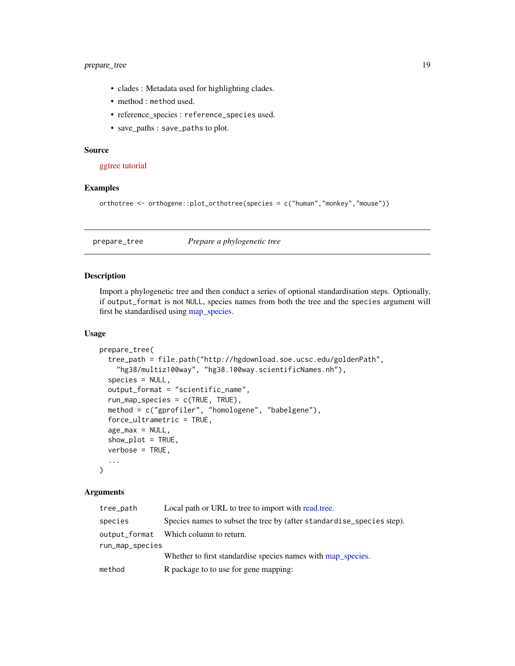# <span id="page-18-0"></span>prepare\_tree 19

- clades : Metadata used for highlighting clades.
- method : method used.
- reference\_species : reference\_species used.
- save\_paths : save\_paths to plot.

#### Source

[ggtree tutorial](https://yulab-smu.top/treedata-book/chapter8.html#phylopic)

#### Examples

```
orthotree <- orthogene::plot_orthotree(species = c("human","monkey","mouse"))
```
prepare\_tree *Prepare a phylogenetic tree*

#### Description

Import a phylogenetic tree and then conduct a series of optional standardisation steps. Optionally, if output\_format is not NULL, species names from both the tree and the species argument will first be standardised using [map\\_species.](#page-15-1)

# Usage

```
prepare_tree(
  tree_path = file.path("http://hgdownload.soe.ucsc.edu/goldenPath",
    "hg38/multiz100way", "hg38.100way.scientificNames.nh"),
  species = NULL,
  output_format = "scientific_name",
  run_map_species = c(TRUE, TRUE),
  method = c("gprofiler", "homologene", "babelgene"),
  force_ultrametric = TRUE,
  age\_max = NULL,show_plot = TRUE,
  verbose = TRUE,
  ...
)
```

| tree_path       | Local path or URL to tree to import with read, tree.                  |
|-----------------|-----------------------------------------------------------------------|
| species         | Species names to subset the tree by (after standardise_species step). |
| output_format   | Which column to return.                                               |
| run_map_species |                                                                       |
|                 | Whether to first standardise species names with map_species.          |
| method          | R package to to use for gene mapping:                                 |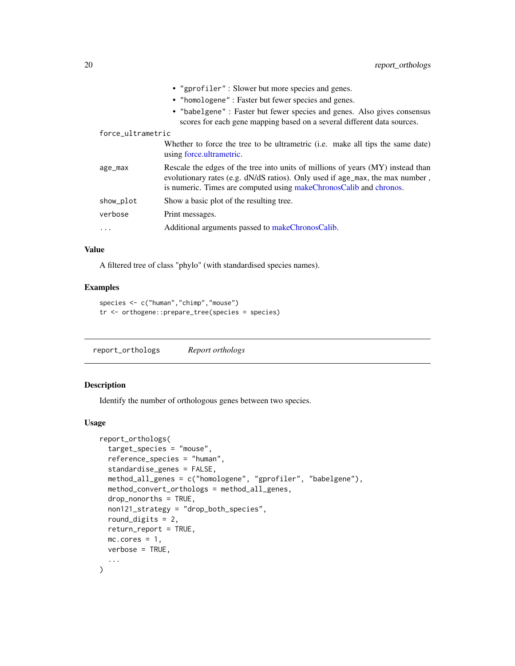<span id="page-19-0"></span>

|                   | • "gprofiler": Slower but more species and genes.                                                                                                                                                                                      |
|-------------------|----------------------------------------------------------------------------------------------------------------------------------------------------------------------------------------------------------------------------------------|
|                   | • "homologene" : Faster but fewer species and genes.                                                                                                                                                                                   |
|                   | • "babelgene" : Faster but fewer species and genes. Also gives consensus<br>scores for each gene mapping based on a several different data sources.                                                                                    |
| force_ultrametric |                                                                                                                                                                                                                                        |
|                   | Whether to force the tree to be ultrametric ( <i>i.e.</i> make all tips the same date)<br>using force.ultrametric.                                                                                                                     |
| age_max           | Rescale the edges of the tree into units of millions of years (MY) instead than<br>evolutionary rates (e.g. dN/dS ratios). Only used if age_max, the max number,<br>is numeric. Times are computed using makeChronosCalib and chronos. |
| show_plot         | Show a basic plot of the resulting tree.                                                                                                                                                                                               |
| verbose           | Print messages.                                                                                                                                                                                                                        |
| $\cdots$          | Additional arguments passed to makeChronosCalib.                                                                                                                                                                                       |

# Value

A filtered tree of class "phylo" (with standardised species names).

# Examples

```
species <- c("human","chimp","mouse")
tr <- orthogene::prepare_tree(species = species)
```
<span id="page-19-1"></span>report\_orthologs *Report orthologs*

# Description

Identify the number of orthologous genes between two species.

#### Usage

```
report_orthologs(
  target_species = "mouse",
  reference_species = "human",
  standardise_genes = FALSE,
 method_all_genes = c("homologene", "gprofiler", "babelgene"),
 method_convert_orthologs = method_all_genes,
 drop_nonorths = TRUE,
 non121_strategy = "drop_both_species",
  round_digits = 2,
 return_report = TRUE,
 mc.cores = 1,
 verbose = TRUE,
  ...
\mathcal{E}
```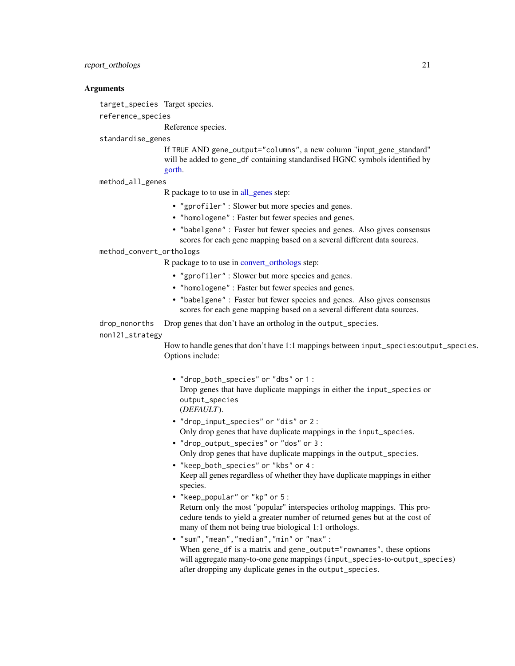### <span id="page-20-0"></span>report\_orthologs 21

### **Arguments**

target\_species Target species.

reference\_species

Reference species.

#### standardise\_genes

If TRUE AND gene\_output="columns", a new column "input\_gene\_standard" will be added to gene\_df containing standardised HGNC symbols identified by [gorth.](#page-0-0)

#### method\_all\_genes

R package to to use in [all\\_genes](#page-3-1) step:

- "gprofiler" : Slower but more species and genes.
- "homologene" : Faster but fewer species and genes.
- "babelgene" : Faster but fewer species and genes. Also gives consensus scores for each gene mapping based on a several different data sources.

#### method\_convert\_orthologs

R package to to use in [convert\\_orthologs](#page-4-1) step:

- "gprofiler" : Slower but more species and genes.
- "homologene" : Faster but fewer species and genes.
- "babelgene" : Faster but fewer species and genes. Also gives consensus scores for each gene mapping based on a several different data sources.

drop\_nonorths Drop genes that don't have an ortholog in the output\_species.

#### non121\_strategy

How to handle genes that don't have 1:1 mappings between input\_species:output\_species. Options include:

- "drop\_both\_species" or "dbs" or 1 : Drop genes that have duplicate mappings in either the input\_species or output\_species (*DEFAULT*).
- "drop\_input\_species" or "dis" or 2 : Only drop genes that have duplicate mappings in the input\_species.
- "drop\_output\_species" or "dos" or 3 : Only drop genes that have duplicate mappings in the output\_species.
- "keep\_both\_species" or "kbs" or 4 : Keep all genes regardless of whether they have duplicate mappings in either species.
- "keep\_popular" or "kp" or 5 : Return only the most "popular" interspecies ortholog mappings. This procedure tends to yield a greater number of returned genes but at the cost of many of them not being true biological 1:1 orthologs.
- "sum","mean","median","min" or "max" : When gene\_df is a matrix and gene\_output="rownames", these options will aggregate many-to-one gene mappings (input\_species-to-output\_species) after dropping any duplicate genes in the output\_species.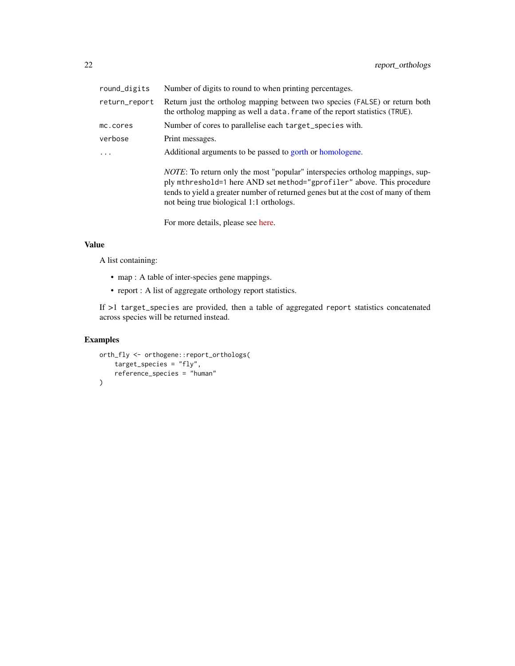<span id="page-21-0"></span>

| round_digits  | Number of digits to round to when printing percentages.                                                                                                                                                                                                                                         |
|---------------|-------------------------------------------------------------------------------------------------------------------------------------------------------------------------------------------------------------------------------------------------------------------------------------------------|
| return_report | Return just the ortholog mapping between two species (FALSE) or return both<br>the ortholog mapping as well a data. frame of the report statistics (TRUE).                                                                                                                                      |
| mc.cores      | Number of cores to parallelise each target_species with.                                                                                                                                                                                                                                        |
| verbose       | Print messages.                                                                                                                                                                                                                                                                                 |
| $\ddots$      | Additional arguments to be passed to gorth or homologene.                                                                                                                                                                                                                                       |
|               | <i>NOTE</i> : To return only the most "popular" interspecies ortholog mappings, sup-<br>ply mthreshold=1 here AND set method="gprofiler" above. This procedure<br>tends to yield a greater number of returned genes but at the cost of many of them<br>not being true biological 1:1 orthologs. |
|               | For more details, please see here.                                                                                                                                                                                                                                                              |

#### Value

A list containing:

- map : A table of inter-species gene mappings.
- report : A list of aggregate orthology report statistics.

If >1 target\_species are provided, then a table of aggregated report statistics concatenated across species will be returned instead.

# Examples

```
orth_fly <- orthogene::report_orthologs(
   target_species = "fly",
   reference_species = "human"
)
```